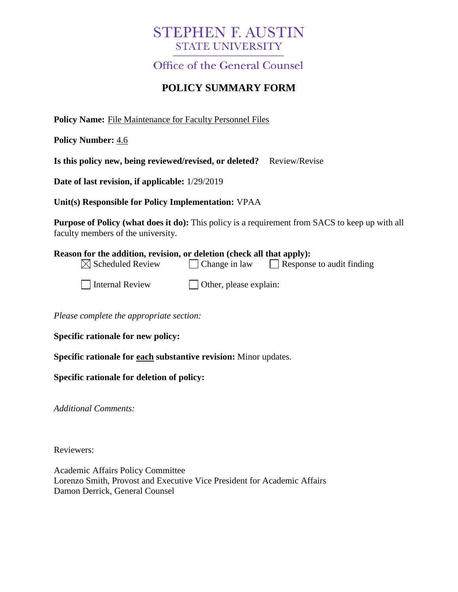# **STEPHEN F. AUSTIN STATE UNIVERSITY**

**Office of the General Counsel** 

## **POLICY SUMMARY FORM**

**Policy Name:** File Maintenance for Faculty Personnel Files

**Policy Number:** 4.6

**Is this policy new, being reviewed/revised, or deleted?** Review/Revise

**Date of last revision, if applicable:** 1/29/2019

**Unit(s) Responsible for Policy Implementation:** VPAA

**Purpose of Policy (what does it do):** This policy is a requirement from SACS to keep up with all faculty members of the university.

| Reason for the addition, revision, or deletion (check all that apply): |                                |                                  |
|------------------------------------------------------------------------|--------------------------------|----------------------------------|
| $\boxtimes$ Scheduled Review                                           | <b>Change in law</b>           | $\Box$ Response to audit finding |
| Internal Review                                                        | $\vert$ Other, please explain: |                                  |

*Please complete the appropriate section:*

**Specific rationale for new policy:**

**Specific rationale for each substantive revision:** Minor updates.

**Specific rationale for deletion of policy:**

*Additional Comments:*

Reviewers:

Academic Affairs Policy Committee Lorenzo Smith, Provost and Executive Vice President for Academic Affairs Damon Derrick, General Counsel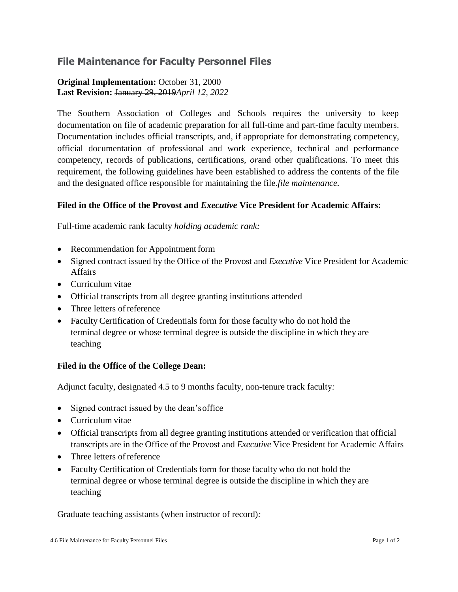### **File Maintenance for Faculty Personnel Files**

#### **Original Implementation:** October 31, 2000 **Last Revision:** January 29, 2019*April 12, 2022*

The Southern Association of Colleges and Schools requires the university to keep documentation on file of academic preparation for all full-time and part-time faculty members. Documentation includes official transcripts, and, if appropriate for demonstrating competency, official documentation of professional and work experience, technical and performance competency, records of publications, certifications, *or*and other qualifications. To meet this requirement, the following guidelines have been established to address the contents of the file and the designated office responsible for maintaining the file.*file maintenance.* 

#### **Filed in the Office of the Provost and** *Executive* **Vice President for Academic Affairs:**

Full-time academic rank faculty *holding academic rank:*

- Recommendation for Appointment form
- Signed contract issued by the Office of the Provost and *Executive* Vice President for Academic Affairs
- Curriculum vitae
- Official transcripts from all degree granting institutions attended
- Three letters of reference
- Faculty Certification of Credentials form for those faculty who do not hold the terminal degree or whose terminal degree is outside the discipline in which they are teaching

#### **Filed in the Office of the College Dean:**

Adjunct faculty, designated 4.5 to 9 months faculty, non-tenure track faculty*:*

- Signed contract issued by the dean'soffice
- Curriculum vitae
- Official transcripts from all degree granting institutions attended or verification that official transcripts are in the Office of the Provost and *Executive* Vice President for Academic Affairs
- Three letters of reference
- Faculty Certification of Credentials form for those faculty who do not hold the terminal degree or whose terminal degree is outside the discipline in which they are teaching

Graduate teaching assistants (when instructor of record)*:*